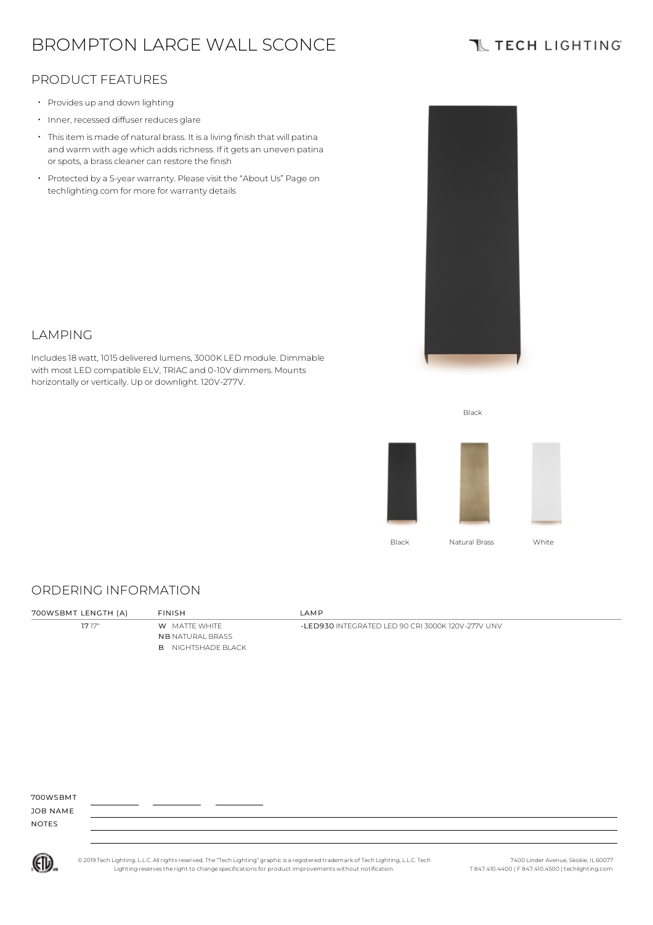# BROMPTON LARGE WALL SCONCE

## **TL TECH LIGHTING**

### PRODUCT FEATURES

- Provides up and down lighting
- Inner, recessed diffuser reduces glare
- Thisitem is made of natural brass. It is a living finish that will patina and warm with age which adds richness. If it gets an uneven patina or spots, a brass cleaner can restore the finish
- Protected by a 5-year warranty. Please visit the "About Us" Page on techlighting.com for more for warranty details



### LAMPING

Includes18 watt, 1015 delivered lumens, 3000K LED module. Dimmable with most LED compatible ELV, TRIAC and 0-10V dimmers. Mounts horizontally or vertically. Up or downlight. 120V-277V.



Black

### ORDERING INFORMATION

| 700WSBMT LENGTH (A) | <b>FINISH</b>                                                                | I AMP.                                            |
|---------------------|------------------------------------------------------------------------------|---------------------------------------------------|
| 1717"               | <b>W</b> MATTE WHITE<br><b>NB</b> NATURAL BRASS<br><b>B</b> NIGHTSHADE BLACK | -LED930 INTEGRATED LED 90 CRI 3000K 120V-277V UNV |

700WSBMT

JOB NAME NOTES



© 2019 Tech Lighting, L.L.C. All rightsreserved. The "Tech Lighting" graphicis a registered trademark of Tech Lighting, L.L.C. Tech Lighting reservesthe right to change specificationsfor product improvements without notification.

7400 Linder Avenue, Skokie, IL 60077 T 847.410.4400 | F 847.410.4500 | techlighting.com